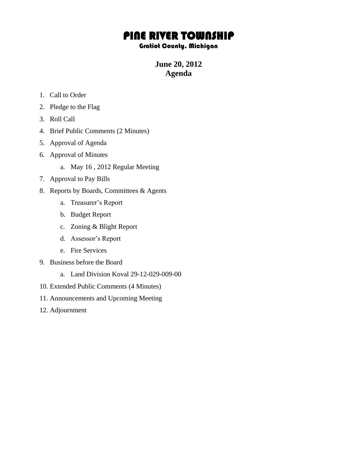## PINE RIVER TOWNSHIP

## Gratiot County, Michigan

**June 20, 2012 Agenda**

- 1. Call to Order
- 2. Pledge to the Flag
- 3. Roll Call
- 4. Brief Public Comments (2 Minutes)
- 5. Approval of Agenda
- 6. Approval of Minutes
	- a. May 16 , 2012 Regular Meeting
- 7. Approval to Pay Bills
- 8. Reports by Boards, Committees & Agents
	- a. Treasurer's Report
	- b. Budget Report
	- c. Zoning & Blight Report
	- d. Assessor's Report
	- e. Fire Services
- 9. Business before the Board
	- a. Land Division Koval 29-12-029-009-00
- 10. Extended Public Comments (4 Minutes)
- 11. Announcements and Upcoming Meeting
- 12. Adjournment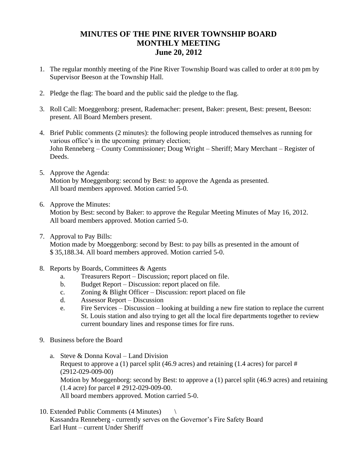## **MINUTES OF THE PINE RIVER TOWNSHIP BOARD MONTHLY MEETING June 20, 2012**

- 1. The regular monthly meeting of the Pine River Township Board was called to order at 8:00 pm by Supervisor Beeson at the Township Hall.
- 2. Pledge the flag: The board and the public said the pledge to the flag.
- 3. Roll Call: Moeggenborg: present, Rademacher: present, Baker: present, Best: present, Beeson: present. All Board Members present.
- 4. Brief Public comments (2 minutes): the following people introduced themselves as running for various office's in the upcoming primary election; John Renneberg – County Commissioner; Doug Wright – Sheriff; Mary Merchant – Register of Deeds.
- 5. Approve the Agenda: Motion by Moeggenborg: second by Best: to approve the Agenda as presented. All board members approved. Motion carried 5-0.
- 6. Approve the Minutes:

Motion by Best: second by Baker: to approve the Regular Meeting Minutes of May 16, 2012. All board members approved. Motion carried 5-0.

7. Approval to Pay Bills:

Motion made by Moeggenborg: second by Best: to pay bills as presented in the amount of \$ 35,188.34. All board members approved. Motion carried 5-0.

- 8. Reports by Boards, Committees & Agents
	- a. Treasurers Report Discussion; report placed on file.
	- b. Budget Report Discussion: report placed on file.
	- c. Zoning & Blight Officer Discussion: report placed on file
	- d. Assessor Report Discussion
	- e. Fire Services Discussion looking at building a new fire station to replace the current St. Louis station and also trying to get all the local fire departments together to review current boundary lines and response times for fire runs.
- 9. Business before the Board
	- a. Steve & Donna Koval Land Division Request to approve a (1) parcel split (46.9 acres) and retaining (1.4 acres) for parcel # (2912-029-009-00) Motion by Moeggenborg: second by Best: to approve a (1) parcel split (46.9 acres) and retaining (1.4 acre) for parcel # 2912-029-009-00. All board members approved. Motion carried 5-0.
- 10. Extended Public Comments (4 Minutes) \ Kassandra Renneberg - currently serves on the Governor's Fire Safety Board Earl Hunt – current Under Sheriff